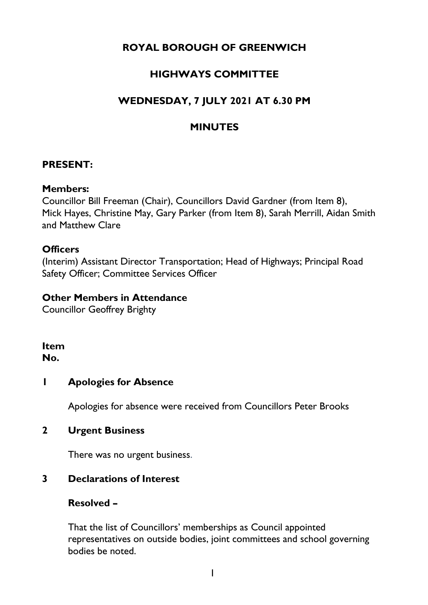# **ROYAL BOROUGH OF GREENWICH**

# **HIGHWAYS COMMITTEE**

# **WEDNESDAY, 7 JULY 2021 AT 6.30 PM**

## **MINUTES**

#### **PRESENT:**

#### **Members:**

Councillor Bill Freeman (Chair), Councillors David Gardner (from Item 8), Mick Hayes, Christine May, Gary Parker (from Item 8), Sarah Merrill, Aidan Smith and Matthew Clare

#### **Officers**

(Interim) Assistant Director Transportation; Head of Highways; Principal Road Safety Officer; Committee Services Officer

#### **Other Members in Attendance**

Councillor Geoffrey Brighty

# **Item**

**No.** 

#### **1 Apologies for Absence**

Apologies for absence were received from Councillors Peter Brooks

#### **2 Urgent Business**

There was no urgent business.

#### **3 Declarations of Interest**

#### **Resolved –**

That the list of Councillors' memberships as Council appointed representatives on outside bodies, joint committees and school governing bodies be noted.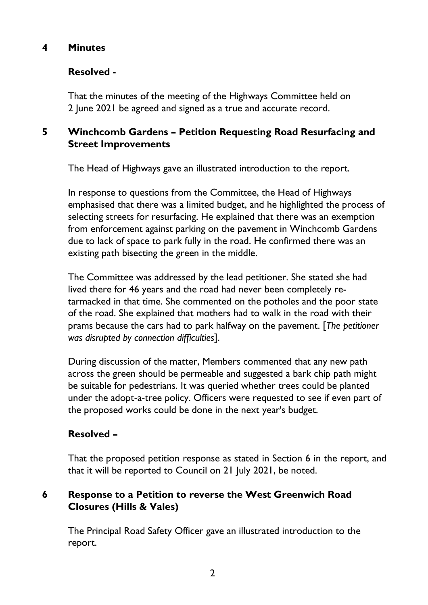## **4 Minutes**

## **Resolved -**

That the minutes of the meeting of the Highways Committee held on 2 June 2021 be agreed and signed as a true and accurate record.

# **5 Winchcomb Gardens – Petition Requesting Road Resurfacing and Street Improvements**

The Head of Highways gave an illustrated introduction to the report.

In response to questions from the Committee, the Head of Highways emphasised that there was a limited budget, and he highlighted the process of selecting streets for resurfacing. He explained that there was an exemption from enforcement against parking on the pavement in Winchcomb Gardens due to lack of space to park fully in the road. He confirmed there was an existing path bisecting the green in the middle.

The Committee was addressed by the lead petitioner. She stated she had lived there for 46 years and the road had never been completely retarmacked in that time. She commented on the potholes and the poor state of the road. She explained that mothers had to walk in the road with their prams because the cars had to park halfway on the pavement. [*The petitioner was disrupted by connection difficulties*].

During discussion of the matter, Members commented that any new path across the green should be permeable and suggested a bark chip path might be suitable for pedestrians. It was queried whether trees could be planted under the adopt-a-tree policy. Officers were requested to see if even part of the proposed works could be done in the next year's budget.

# **Resolved –**

That the proposed petition response as stated in Section 6 in the report, and that it will be reported to Council on 21 July 2021, be noted.

## **6 Response to a Petition to reverse the West Greenwich Road Closures (Hills & Vales)**

The Principal Road Safety Officer gave an illustrated introduction to the report.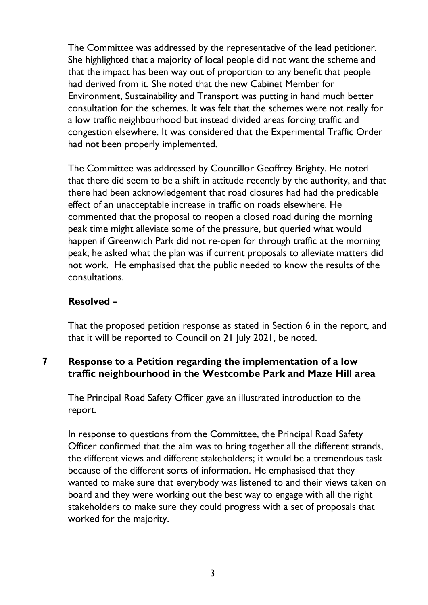The Committee was addressed by the representative of the lead petitioner. She highlighted that a majority of local people did not want the scheme and that the impact has been way out of proportion to any benefit that people had derived from it. She noted that the new Cabinet Member for Environment, Sustainability and Transport was putting in hand much better consultation for the schemes. It was felt that the schemes were not really for a low traffic neighbourhood but instead divided areas forcing traffic and congestion elsewhere. It was considered that the Experimental Traffic Order had not been properly implemented.

The Committee was addressed by Councillor Geoffrey Brighty. He noted that there did seem to be a shift in attitude recently by the authority, and that there had been acknowledgement that road closures had had the predicable effect of an unacceptable increase in traffic on roads elsewhere. He commented that the proposal to reopen a closed road during the morning peak time might alleviate some of the pressure, but queried what would happen if Greenwich Park did not re-open for through traffic at the morning peak; he asked what the plan was if current proposals to alleviate matters did not work. He emphasised that the public needed to know the results of the consultations.

## **Resolved –**

That the proposed petition response as stated in Section 6 in the report, and that it will be reported to Council on 21 July 2021, be noted.

# **7 Response to a Petition regarding the implementation of a low traffic neighbourhood in the Westcombe Park and Maze Hill area**

The Principal Road Safety Officer gave an illustrated introduction to the report.

In response to questions from the Committee, the Principal Road Safety Officer confirmed that the aim was to bring together all the different strands, the different views and different stakeholders; it would be a tremendous task because of the different sorts of information. He emphasised that they wanted to make sure that everybody was listened to and their views taken on board and they were working out the best way to engage with all the right stakeholders to make sure they could progress with a set of proposals that worked for the majority.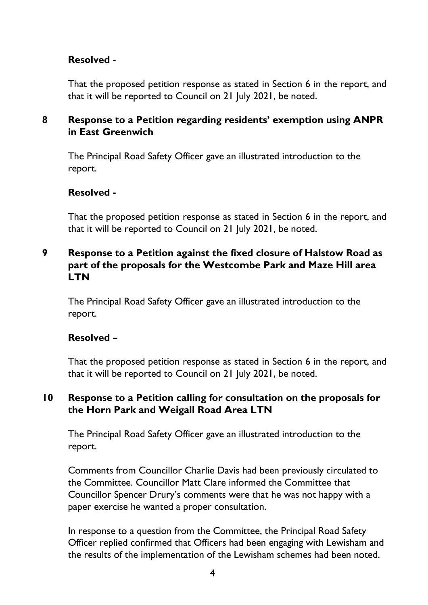## **Resolved -**

That the proposed petition response as stated in Section 6 in the report, and that it will be reported to Council on 21 July 2021, be noted.

## **8 Response to a Petition regarding residents' exemption using ANPR in East Greenwich**

The Principal Road Safety Officer gave an illustrated introduction to the report.

#### **Resolved -**

That the proposed petition response as stated in Section 6 in the report, and that it will be reported to Council on 21 July 2021, be noted.

#### **9 Response to a Petition against the fixed closure of Halstow Road as part of the proposals for the Westcombe Park and Maze Hill area LTN**

The Principal Road Safety Officer gave an illustrated introduction to the report.

#### **Resolved –**

That the proposed petition response as stated in Section 6 in the report, and that it will be reported to Council on 21 July 2021, be noted.

#### **10 Response to a Petition calling for consultation on the proposals for the Horn Park and Weigall Road Area LTN**

The Principal Road Safety Officer gave an illustrated introduction to the report.

Comments from Councillor Charlie Davis had been previously circulated to the Committee. Councillor Matt Clare informed the Committee that Councillor Spencer Drury's comments were that he was not happy with a paper exercise he wanted a proper consultation.

In response to a question from the Committee, the Principal Road Safety Officer replied confirmed that Officers had been engaging with Lewisham and the results of the implementation of the Lewisham schemes had been noted.